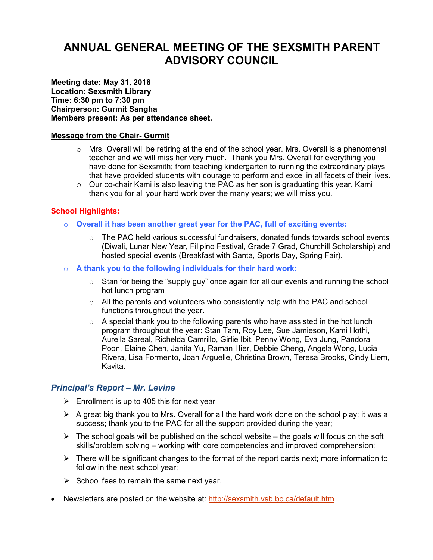# **ANNUAL GENERAL MEETING OF THE SEXSMITH PARENT ADVISORY COUNCIL**

**Meeting date: May 31, 2018 Location: Sexsmith Library Time: 6:30 pm to 7:30 pm Chairperson: Gurmit Sangha Members present: As per attendance sheet.** 

#### **Message from the Chair- Gurmit**

- $\circ$  Mrs. Overall will be retiring at the end of the school year. Mrs. Overall is a phenomenal teacher and we will miss her very much. Thank you Mrs. Overall for everything you have done for Sexsmith; from teaching kindergarten to running the extraordinary plays that have provided students with courage to perform and excel in all facets of their lives.
- $\circ$  Our co-chair Kami is also leaving the PAC as her son is graduating this year. Kami thank you for all your hard work over the many years; we will miss you.

#### **School Highlights:**

- o **Overall it has been another great year for the PAC, full of exciting events:** 
	- $\circ$  The PAC held various successful fundraisers, donated funds towards school events (Diwali, Lunar New Year, Filipino Festival, Grade 7 Grad, Churchill Scholarship) and hosted special events (Breakfast with Santa, Sports Day, Spring Fair).
- o **A thank you to the following individuals for their hard work:** 
	- $\circ$  Stan for being the "supply guy" once again for all our events and running the school hot lunch program
	- $\circ$  All the parents and volunteers who consistently help with the PAC and school functions throughout the year.
	- $\circ$  A special thank you to the following parents who have assisted in the hot lunch program throughout the year: Stan Tam, Roy Lee, Sue Jamieson, Kami Hothi, Aurella Sareal, Richelda Camrillo, Girlie Ibit, Penny Wong, Eva Jung, Pandora Poon, Elaine Chen, Janita Yu, Raman Hier, Debbie Cheng, Angela Wong, Lucia Rivera, Lisa Formento, Joan Arguelle, Christina Brown, Teresa Brooks, Cindy Liem, Kavita.

## *Principal's Report – Mr. Levine*

- $\triangleright$  Enrollment is up to 405 this for next year
- $\triangleright$  A great big thank you to Mrs. Overall for all the hard work done on the school play; it was a success; thank you to the PAC for all the support provided during the year;
- $\triangleright$  The school goals will be published on the school website the goals will focus on the soft skills/problem solving – working with core competencies and improved comprehension;
- $\triangleright$  There will be significant changes to the format of the report cards next; more information to follow in the next school year;
- $\triangleright$  School fees to remain the same next year.
- Newsletters are posted on the website at: http://sexsmith.vsb.bc.ca/default.htm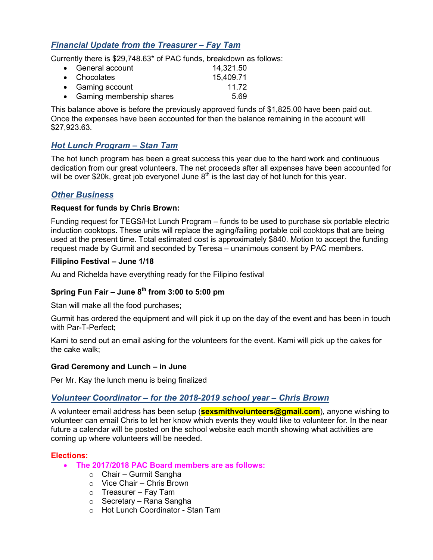# *Financial Update from the Treasurer – Fay Tam*

Currently there is \$29,748.63\* of PAC funds, breakdown as follows:

| • General account          | 14,321.50 |
|----------------------------|-----------|
| • Chocolates               | 15,409.71 |
| • Gaming account           | 11 72     |
| • Gaming membership shares | 5.69      |

This balance above is before the previously approved funds of \$1,825.00 have been paid out. Once the expenses have been accounted for then the balance remaining in the account will \$27,923.63.

# *Hot Lunch Program – Stan Tam*

The hot lunch program has been a great success this year due to the hard work and continuous dedication from our great volunteers. The net proceeds after all expenses have been accounted for will be over \$20k, great job everyone! June  $8<sup>th</sup>$  is the last day of hot lunch for this year.

# *Other Business*

#### **Request for funds by Chris Brown:**

Funding request for TEGS/Hot Lunch Program – funds to be used to purchase six portable electric induction cooktops. These units will replace the aging/failing portable coil cooktops that are being used at the present time. Total estimated cost is approximately \$840. Motion to accept the funding request made by Gurmit and seconded by Teresa – unanimous consent by PAC members.

#### **Filipino Festival – June 1/18**

Au and Richelda have everything ready for the Filipino festival

# **Spring Fun Fair – June 8th from 3:00 to 5:00 pm**

Stan will make all the food purchases;

Gurmit has ordered the equipment and will pick it up on the day of the event and has been in touch with Par-T-Perfect;

Kami to send out an email asking for the volunteers for the event. Kami will pick up the cakes for the cake walk;

#### **Grad Ceremony and Lunch – in June**

Per Mr. Kay the lunch menu is being finalized

## *Volunteer Coordinator – for the 2018-2019 school year – Chris Brown*

A volunteer email address has been setup (**sexsmithvolunteers@gmail.com**), anyone wishing to volunteer can email Chris to let her know which events they would like to volunteer for. In the near future a calendar will be posted on the school website each month showing what activities are coming up where volunteers will be needed.

#### **Elections:**

- **The 2017/2018 PAC Board members are as follows:** 
	- o Chair Gurmit Sangha
	- o Vice Chair Chris Brown
	- $\circ$  Treasurer Fay Tam
	- o Secretary Rana Sangha
	- o Hot Lunch Coordinator Stan Tam